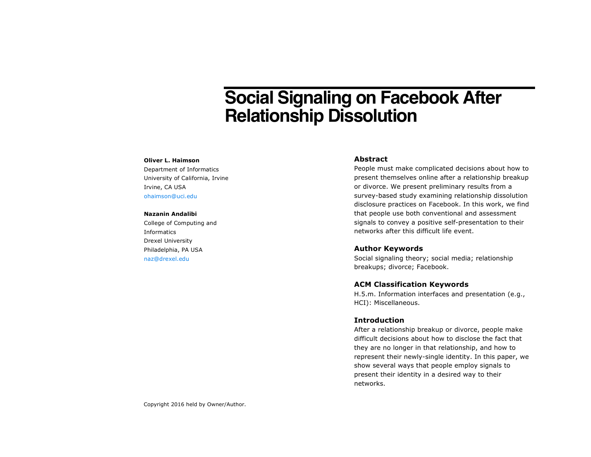# **Social Signaling on Facebook After Relationship Dissolution**

#### **Oliver L. Haimson**

Department of Informatics University of California, Irvine Irvine, CA USA ohaimson@uci.edu

#### **Nazanin Andalibi**

College of Computing and Informatics Drexel University Philadelphia, PA USA naz@drexel.edu

#### **Abstract**

People must make complicated decisions about how to present themselves online after a relationship breakup or divorce. We present preliminary results from a survey-based study examining relationship dissolution disclosure practices on Facebook. In this work, we find that people use both conventional and assessment signals to convey a positive self-presentation to their networks after this difficult life event.

#### **Author Keywords**

Social signaling theory; social media; relationship breakups; divorce; Facebook.

## **ACM Classification Keywords**

H.5.m. Information interfaces and presentation (e.g., HCI): Miscellaneous.

### **Introduction**

After a relationship breakup or divorce, people make difficult decisions about how to disclose the fact that they are no longer in that relationship, and how to represent their newly-single identity. In this paper, we show several ways that people employ signals to present their identity in a desired way to their networks.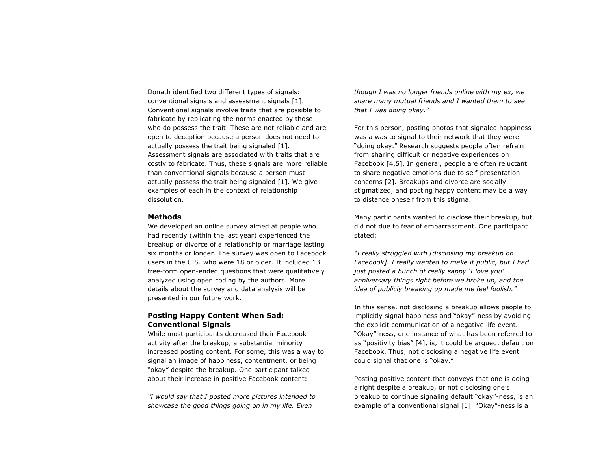Donath identified two different types of signals: conventional signals and assessment signals [1]. Conventional signals involve traits that are possible to fabricate by replicating the norms enacted by those who do possess the trait. These are not reliable and are open to deception because a person does not need to actually possess the trait being signaled [1]. Assessment signals are associated with traits that are costly to fabricate. Thus, these signals are more reliable than conventional signals because a person must actually possess the trait being signaled [1]. We give examples of each in the context of relationship dissolution.

#### **Methods**

We developed an online survey aimed at people who had recently (within the last year) experienced the breakup or divorce of a relationship or marriage lasting six months or longer. The survey was open to Facebook users in the U.S. who were 18 or older. It included 13 free-form open-ended questions that were qualitatively analyzed using open coding by the authors. More details about the survey and data analysis will be presented in our future work.

# **Posting Happy Content When Sad: Conventional Signals**

While most participants decreased their Facebook activity after the breakup, a substantial minority increased posting content. For some, this was a way to signal an image of happiness, contentment, or being "okay" despite the breakup. One participant talked about their increase in positive Facebook content:

*"I would say that I posted more pictures intended to showcase the good things going on in my life. Even* 

*though I was no longer friends online with my ex, we share many mutual friends and I wanted them to see that I was doing okay."*

For this person, posting photos that signaled happiness was a was to signal to their network that they were "doing okay." Research suggests people often refrain from sharing difficult or negative experiences on Facebook [4,5]. In general, people are often reluctant to share negative emotions due to self-presentation concerns [2]. Breakups and divorce are socially stigmatized, and posting happy content may be a way to distance oneself from this stigma.

Many participants wanted to disclose their breakup, but did not due to fear of embarrassment. One participant stated:

*"I really struggled with [disclosing my breakup on Facebook]. I really wanted to make it public, but I had just posted a bunch of really sappy 'I love you' anniversary things right before we broke up, and the idea of publicly breaking up made me feel foolish."*

In this sense, not disclosing a breakup allows people to implicitly signal happiness and "okay"-ness by avoiding the explicit communication of a negative life event. "Okay"-ness, one instance of what has been referred to as "positivity bias" [4], is, it could be argued, default on Facebook. Thus, not disclosing a negative life event could signal that one is "okay."

Posting positive content that conveys that one is doing alright despite a breakup, or not disclosing one's breakup to continue signaling default "okay"-ness, is an example of a conventional signal [1]. "Okay"-ness is a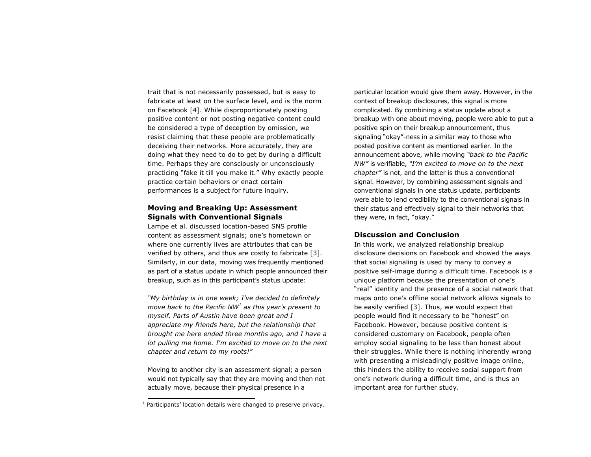trait that is not necessarily possessed, but is easy to fabricate at least on the surface level, and is the norm on Facebook [4]. While disproportionately posting positive content or not posting negative content could be considered a type of deception by omission, we resist claiming that these people are problematically deceiving their networks. More accurately, they are doing what they need to do to get by during a difficult time. Perhaps they are consciously or unconsciously practicing "fake it till you make it." Why exactly people practice certain behaviors or enact certain performances is a subject for future inquiry.

## **Moving and Breaking Up: Assessment Signals with Conventional Signals**

Lampe et al. discussed location-based SNS profile content as assessment signals; one's hometown or where one currently lives are attributes that can be verified by others, and thus are costly to fabricate [3]. Similarly, in our data, moving was frequently mentioned as part of a status update in which people announced their breakup, such as in this participant's status update:

*"My birthday is in one week; I've decided to definitely move back to the Pacific NW<sup>1</sup> as this year's present to myself. Parts of Austin have been great and I appreciate my friends here, but the relationship that brought me here ended three months ago, and I have a lot pulling me home. I'm excited to move on to the next chapter and return to my roots!"*

Moving to another city is an assessment signal; a person would not typically say that they are moving and then not actually move, because their physical presence in a

particular location would give them away. However, in the context of breakup disclosures, this signal is more complicated. By combining a status update about a breakup with one about moving, people were able to put a positive spin on their breakup announcement, thus signaling "okay"-ness in a similar way to those who posted positive content as mentioned earlier. In the announcement above, while moving *"back to the Pacific NW"* is verifiable, *"I'm excited to move on to the next chapter"* is not, and the latter is thus a conventional signal. However, by combining assessment signals and conventional signals in one status update, participants were able to lend credibility to the conventional signals in their status and effectively signal to their networks that they were, in fact, "okay."

### **Discussion and Conclusion**

In this work, we analyzed relationship breakup disclosure decisions on Facebook and showed the ways that social signaling is used by many to convey a positive self-image during a difficult time. Facebook is a unique platform because the presentation of one's "real" identity and the presence of a social network that maps onto one's offline social network allows signals to be easily verified [3]. Thus, we would expect that people would find it necessary to be "honest" on Facebook. However, because positive content is considered customary on Facebook, people often employ social signaling to be less than honest about their struggles. While there is nothing inherently wrong with presenting a misleadingly positive image online, this hinders the ability to receive social support from one's network during a difficult time, and is thus an important area for further study.

 $1$  Participants' location details were changed to preserve privacy.